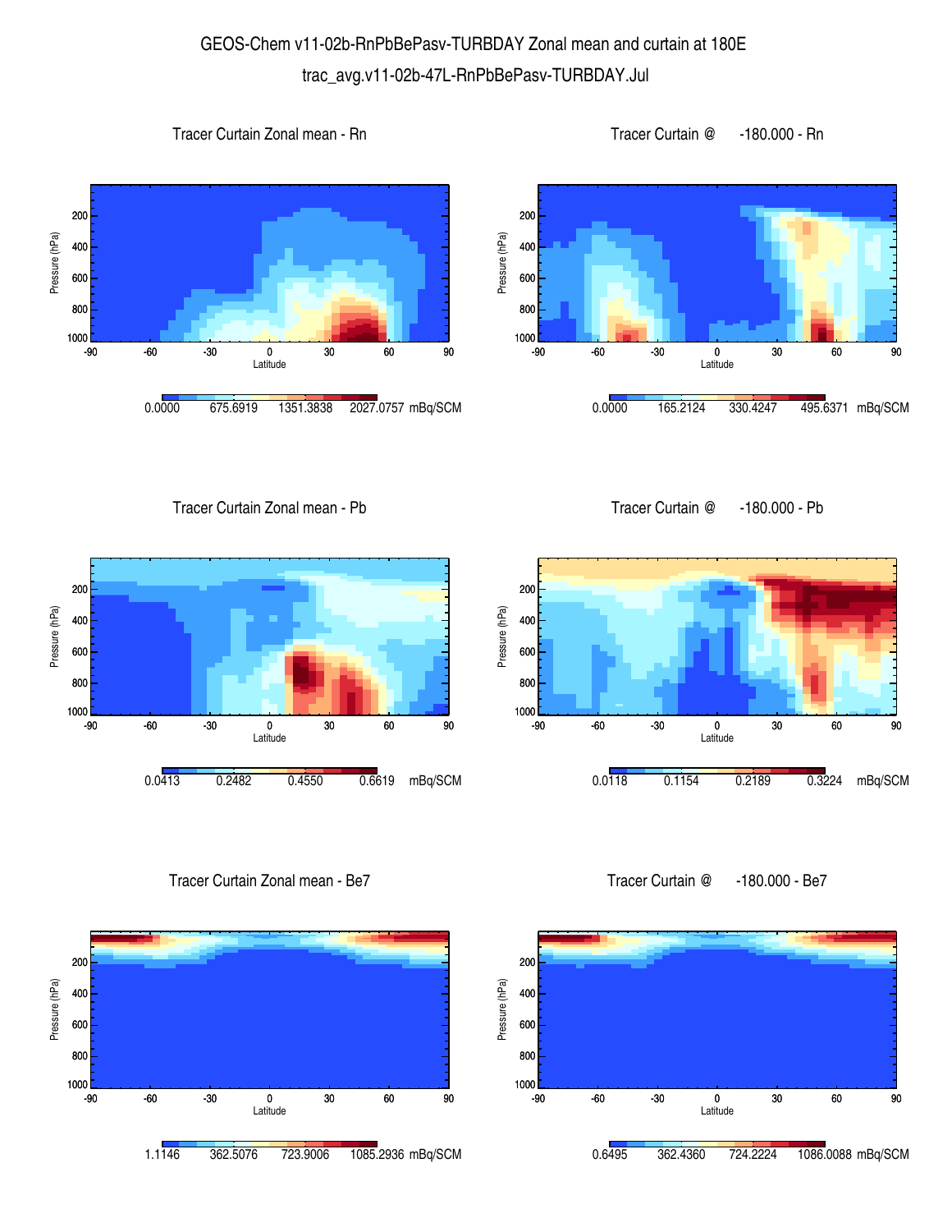## GEOS-Chem v11-02b-RnPbBePasv-TURBDAY Zonal mean and curtain at 180E trac\_avg.v11-02b-47L-RnPbBePasv-TURBDAY.Jul

## Tracer Curtain Zonal mean - Rn







Tracer Curtain Zonal mean - Pb





Tracer Curtain Zonal mean - Be7





Tracer Curtain @ -180.000 - Be7